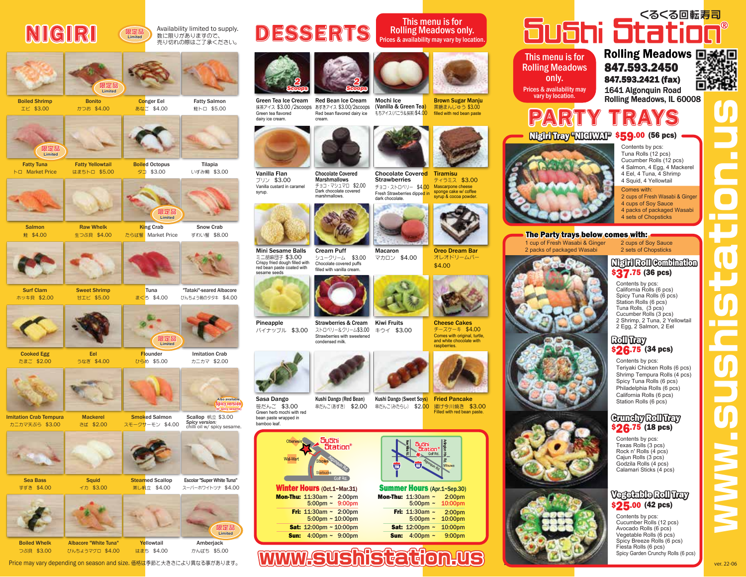# NIGIRI

#### 数に限りがありますので、 売り切れの際はご了承ください。 Availability limited to supply. **限定品 Limited**









**Tuna** まぐろ \$4.00

**Flounder** ひらめ \$5.00

Smoked Salmon スモークサーモン \$4.00

> **Steamed Scallop** 蒸し帆立 \$4.00

**Yellowtail** はまち \$4.00

**限定品 Limited**

タコ \$3.00

たらば蟹 Market Price Snow Crab ずわい蟹 \$8.00

> "Tataki"-seared Albacore びんちょう鮪のタタキ \$4.00

> > Imitation Crab カニカマ \$2.00

Scallop 帆立 \$3.00

*Spicy version:* chilli oil w/ spicy sesame.

**Also available (w/ spicy sesame) Spicy version** 

Escolar "Super White Tuna" スーパーホワイトツナ \$4.00

> Amberjack かんぱち \$5.00

**限定品 Limited**



Salmon 鮭 \$4.00

Fatty Tuna トロ Market Price

**限定品 Limited**

生つぶ貝 \$4.00

Eel うなぎ \$4.00

**Squid** イカ \$3.00

Albacore "White Tuna" びんちょうマグロ \$4.00

Fatty Yellowtail はまちトロ \$5.00

Surf Clam ホッキ貝 \$2.00 Sweet Shrimp 甘エビ \$5.00



Cooked Egg たまご \$2.00



Imitation Crab Tempura カニカマ天ぷら \$3.00 Mackerel さば \$2.00



Sea Bass

すずき \$4.00



Boiled Whelk つぶ貝 \$3.00



Boiled Octopus Tilapia

いずみ鯛 \$3.00



Green tea flavored dairy ice cream.

プリン \$3.00

Vanilla Flan

ミニ胡麻団子 \$3.00 Crispy fried dough filled with red bean paste coated with sesame seeds Mini Sesame Balls



DESSERTS

*2 Scoops*

cream.

パイナップル \$3.00 Pineapple



bamboo leaf. Kushi Dango (Red Bean) Kushi Dango (Sweet So<mark>ys) Fried Pancake</mark>



**Mon-Thu: 11**:30am ~ 2:00pm ~ 9:00pm 5:00pm **Fri: 11:30am ~ 2:00pm** ~ 10:00pm 5:00pm **Sat:** 12:00pm ~ 10:00pm **Sun:** 4:00pm ~ 9:00pm



This menu is for Rolling Meadows only. Prices & availability may vary by location.

抹茶アイス \$3.00 /2scoops あずきアイス \$3.00/2scoops (Vanilla & Green Tea) Red bean flavored dairy ice もちアイス(バニラ&抹茶) \$4**.00 filled with red bean paste** 黒糖まんじゅう \$3.00 Brown Sugar Manju



ティラミス \$3.00 Mascarpone cheese Fresh Strawberries dippe<mark>d in \_ sponge cake w/ coffee</mark><br>dark chocolate Tiramisu チョコ・ストロベリー \$4.00 dark chocolate. Chocolate Covered **Strawberries** 



オレオドリームバー \$4.00 Oreo Dream Bar



チーズケーキ \$4.00 Comes with original, turtle and white chocolate with **raspberries** Cheese Cakes



揚げ今川焼き \$3.00 Filled with red bean paste.



**Mon-Thu: 11:**30am ~ 2:00pm 5:00pm ~ 10:00pm Fri: 11:30am ~ 5:00pm ~ **Sat:** 12:00pm ~ 10:00pm **Sun:** 4:00pm ~ 2:00pm 10:00pm 9:00pm

### くるくる回転寿司 **Sushi Station**®

PARTY TRAYS

This menu is for Rolling Meadows only. Prices & availability may vary by location.

1641 Algonquin Road Rolling Meadows, IL 60008 nolling Meadows 回送回<br>847.593.2450 深刻转 847.593.2421 (fax)



Night Tray "NIGIWAI" \$59.00 (56 pcs) Contents by pcs: Tuna Rolls (12 pcs) Cucumber Rolls (12 pcs) 4 Salmon, 4 Egg, 4 Mackerel 4 Eel, 4 Tuna, 4 Shrimp 4 Squid, 4 Yellowtail Comes with: 2 cups of Fresh Wasabi & Ginger 4 cups of Soy Sauce 4 packs of packaged Wasabi 4 sets of Chopsticks 1 cup of Fresh Wasabi & Ginger 2 cups of Soy Sauce Nigiri Roll Combination The Party trays below comes with:



Contents by pcs: Teriyaki Chicken Rolls (6 pcs) Shrimp Tempura Rolls (4 pcs) Spicy Tuna Rolls (6 pcs) Philadelphia Rolls (6 pcs) California Rolls (6 pcs) Station Rolls (6 pcs) \$**26.**75 (34 pcs)

### \$**26**.75 (18 pcs) Crunchy Roll Tray

Contents by pcs: Texas Rolls (3 pcs) Rock n' Rolls (4 pcs) Cajun Rolls (3 pcs) Godzila Rolls (4 pcs) Calamari Sticks (4 pcs)

### \$25.00 (42 pcs) Vegetable Roll Tray

Contents by pcs: Cucumber Rolls (12 pcs) Avocado Rolls (6 pcs) Vegetable Rolls (6 pcs) Spicy Breeze Rolls (6 pcs) Fiesta Rolls (6 pcs) Spicy Garden Crunchy Rolls (6 pcs)

www.sushistation.us

2 packs of packaged Wasabi







チョコ・マシュマロ \$2.00 Dark chocolate covered marshmallows.

*2 Scoops*

Chocolate Covered **Marshmallows** 

filled with vanilla cream.

Strawberries with sweetened





笹だんご \$3.00 Green herb mochi with red bean paste wrapped in Sasa Dango

串だんご(あずき) \$2.00 串だんご(みたらし) \$2.<mark>00</mark>



Winter Hours (Oct.1~Mar.31) Summer Hours (Apr.1~Sep.30)

www.sushistation.us



マカロン \$4.00 Macaron